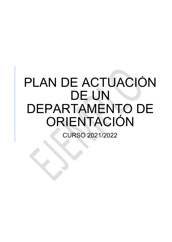## PLAN DE ACTUACIÓN DE UN DEPARTAMENTO DE ORIENTACIÓN

CURSO 2021/2022